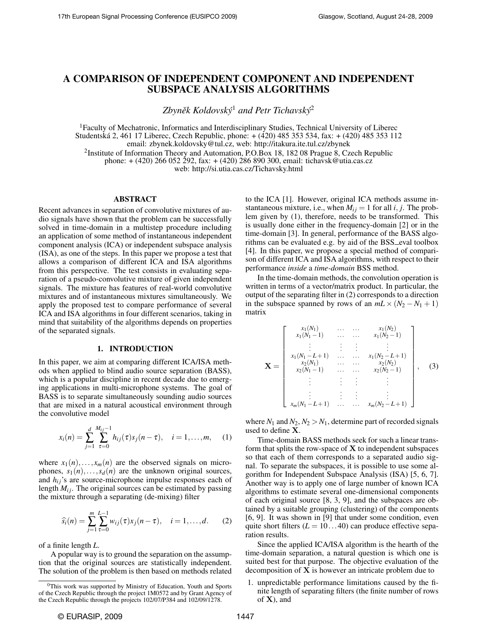# A COMPARISON OF INDEPENDENT COMPONENT AND INDEPENDENT SUBSPACE ANALYSIS ALGORITHMS

Zbyněk Koldovský<sup>1</sup> and Petr Tichavský<sup>2</sup>

<sup>1</sup>Faculty of Mechatronic, Informatics and Interdisciplinary Studies, Technical University of Liberec Studentska 2, 461 17 Liberec, Czech Republic, phone: + (420) 485 353 534, fax: + (420) 485 353 112 ´ email: zbynek.koldovsky@tul.cz, web: http://itakura.ite.tul.cz/zbynek

<sup>2</sup>Institute of Information Theory and Automation, P.O.Box 18, 182 08 Prague 8, Czech Republic

phone: + (420) 266 052 292, fax: + (420) 286 890 300, email: tichavsk@utia.cas.cz

web: http://si.utia.cas.cz/Tichavsky.html

# ABSTRACT

Recent advances in separation of convolutive mixtures of audio signals have shown that the problem can be successfully solved in time-domain in a multistep procedure including an application of some method of instantaneous independent component analysis (ICA) or independent subspace analysis (ISA), as one of the steps. In this paper we propose a test that allows a comparison of different ICA and ISA algorithms from this perspective. The test consists in evaluating separation of a pseudo-convolutive mixture of given independent signals. The mixture has features of real-world convolutive mixtures and of instantaneous mixtures simultaneously. We apply the proposed test to compare performance of several ICA and ISA algorithms in four different scenarios, taking in mind that suitability of the algorithms depends on properties of the separated signals.

## 1. INTRODUCTION

In this paper, we aim at comparing different ICA/ISA methods when applied to blind audio source separation (BASS), which is a popular discipline in recent decade due to emerging applications in multi-microphone systems. The goal of BASS is to separate simultaneously sounding audio sources that are mixed in a natural acoustical environment through the convolutive model

$$
x_i(n) = \sum_{j=1}^d \sum_{\tau=0}^{M_{ij}-1} h_{ij}(\tau) s_j(n-\tau), \quad i = 1, \dots, m,
$$
 (1)

where  $x_1(n), \ldots, x_m(n)$  are the observed signals on microphones,  $s_1(n), \ldots, s_d(n)$  are the unknown original sources, and  $h_{ij}$ 's are source-microphone impulse responses each of length  $M_{ij}$ . The original sources can be estimated by passing the mixture through a separating (de-mixing) filter

$$
\widehat{s_i}(n) = \sum_{j=1}^{m} \sum_{\tau=0}^{L-1} w_{ij}(\tau) x_j(n-\tau), \quad i = 1, ..., d.
$$
 (2)

of a finite length *L*.

A popular way is to ground the separation on the assumption that the original sources are statistically independent. The solution of the problem is then based on methods related to the ICA [1]. However, original ICA methods assume instantaneous mixture, i.e., when  $M_{ij} = 1$  for all *i*, *j*. The problem given by (1), therefore, needs to be transformed. This is usually done either in the frequency-domain [2] or in the time-domain [3]. In general, performance of the BASS algorithms can be evaluated e.g. by aid of the BSS\_eval toolbox [4]. In this paper, we propose a special method of comparison of different ICA and ISA algorithms, with respect to their performance *inside* a *time-domain* BSS method.

In the time-domain methods, the convolution operation is written in terms of a vector/matrix product. In particular, the output of the separating filter in (2) corresponds to a direction in the subspace spanned by rows of an  $mL \times (N_2 - N_1 + 1)$ matrix

$$
\mathbf{X} = \begin{bmatrix} x_1(N_1) & \cdots & \cdots & x_1(N_2) \\ x_1(N_1 - 1) & \cdots & \cdots & x_1(N_2 - 1) \\ \vdots & \vdots & \vdots & \vdots \\ x_1(N_1 - L + 1) & \cdots & \cdots & x_1(N_2 - L + 1) \\ x_2(N_1) & \cdots & \cdots & x_2(N_2) \\ x_2(N_1 - 1) & \cdots & \cdots & x_2(N_2 - 1) \\ \vdots & \vdots & \vdots & \vdots & \vdots \\ x_m(N_1 - L + 1) & \cdots & \cdots & x_m(N_2 - L + 1) \end{bmatrix}, \quad (3)
$$

where  $N_1$  and  $N_2$ ,  $N_2 > N_1$ , determine part of recorded signals used to define X.

Time-domain BASS methods seek for such a linear transform that splits the row-space of  $X$  to independent subspaces so that each of them corresponds to a separated audio signal. To separate the subspaces, it is possible to use some algorithm for Independent Subspace Analysis (ISA) [5, 6, 7]. Another way is to apply one of large number of known ICA algorithms to estimate several one-dimensional components of each original source [8, 3, 9], and the subspaces are obtained by a suitable grouping (clustering) of the components [6, 9]. It was shown in [9] that under some condition, even quite short filters  $(L = 10...40)$  can produce effective separation results.

Since the applied ICA/ISA algorithm is the hearth of the time-domain separation, a natural question is which one is suited best for that purpose. The objective evaluation of the decomposition of  $X$  is however an intricate problem due to

1. unpredictable performance limitations caused by the finite length of separating filters (the finite number of rows of  $X$ ), and

 $0$ This work was supported by Ministry of Education, Youth and Sports of the Czech Republic through the project 1M0572 and by Grant Agency of the Czech Republic through the projects 102/07/P384 and 102/09/1278.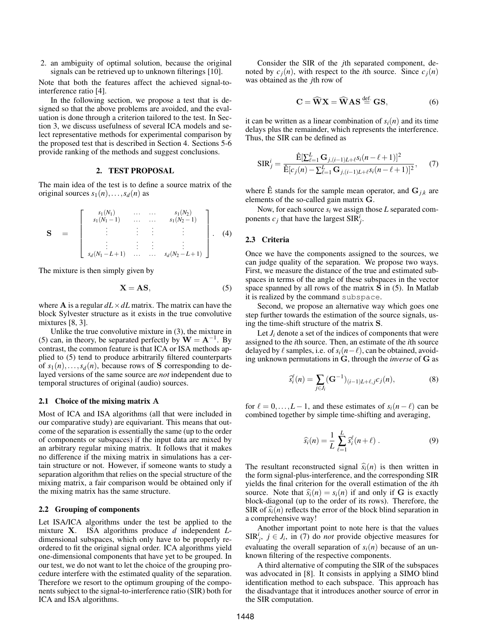2. an ambiguity of optimal solution, because the original signals can be retrieved up to unknown filterings [10].

Note that both the features affect the achieved signal-tointerference ratio [4].

In the following section, we propose a test that is designed so that the above problems are avoided, and the evaluation is done through a criterion tailored to the test. In Section 3, we discuss usefulness of several ICA models and select representative methods for experimental comparison by the proposed test that is described in Section 4. Sections 5-6 provide ranking of the methods and suggest conclusions.

## 2. TEST PROPOSAL

The main idea of the test is to define a source matrix of the original sources  $s_1(n), \ldots, s_d(n)$  as

$$
\mathbf{S} = \begin{bmatrix} s_1(N_1) & \cdots & \cdots & s_1(N_2) \\ s_1(N_1-1) & \cdots & \cdots & s_1(N_2-1) \\ \vdots & \vdots & \vdots & \vdots \\ s_d(N_1-L+1) & \cdots & \cdots & s_d(N_2-L+1) \end{bmatrix} . \quad (4)
$$

The mixture is then simply given by

$$
X = AS,\t(5)
$$

where **A** is a regular  $dL \times dL$  matrix. The matrix can have the block Sylvester structure as it exists in the true convolutive mixtures [8, 3].

Unlike the true convolutive mixture in (3), the mixture in (5) can, in theory, be separated perfectly by  $\mathbf{W} = \mathbf{A}^{-1}$ . By contrast, the common feature is that ICA or ISA methods applied to (5) tend to produce arbitrarily filtered counterparts of  $s_1(n), \ldots, s_d(n)$ , because rows of S corresponding to delayed versions of the same source are *not* independent due to temporal structures of original (audio) sources.

# 2.1 Choice of the mixing matrix A

Most of ICA and ISA algorithms (all that were included in our comparative study) are equivariant. This means that outcome of the separation is essentially the same (up to the order of components or subspaces) if the input data are mixed by an arbitrary regular mixing matrix. It follows that it makes no difference if the mixing matrix in simulations has a certain structure or not. However, if someone wants to study a separation algorithm that relies on the special structure of the mixing matrix, a fair comparison would be obtained only if the mixing matrix has the same structure.

# 2.2 Grouping of components

Let ISA/ICA algorithms under the test be applied to the mixture X. ISA algorithms produce *d* independent *L*dimensional subspaces, which only have to be properly reordered to fit the original signal order. ICA algorithms yield one-dimensional components that have yet to be grouped. In our test, we do not want to let the choice of the grouping procedure interfere with the estimated quality of the separation. Therefore we resort to the optimum grouping of the components subject to the signal-to-interference ratio (SIR) both for ICA and ISA algorithms.

Consider the SIR of the *j*th separated component, denoted by  $c_j(n)$ , with respect to the *i*th source. Since  $c_j(n)$ was obtained as the *j*th row of

$$
C = \widehat{W}X = \widehat{W}AS \stackrel{\text{def.}}{=} GS,
$$
 (6)

it can be written as a linear combination of  $s_i(n)$  and its time delays plus the remainder, which represents the interference. Thus, the SIR can be defined as

$$
SIR_j^i = \frac{\hat{E}[\sum_{\ell=1}^L \mathbf{G}_{j,(i-1)L+\ell} s_i(n-\ell+1)]^2}{\hat{E}[c_j(n) - \sum_{\ell=1}^L \mathbf{G}_{j,(i-1)L+\ell} s_i(n-\ell+1)]^2},\qquad(7)
$$

where  $\hat{E}$  stands for the sample mean operator, and  $G_{j,k}$  are elements of the so-called gain matrix G.

Now, for each source  $s_i$  we assign those  $L$  separated components  $c_j$  that have the largest  $\text{SIR}_j^i$ .

## 2.3 Criteria

Once we have the components assigned to the sources, we can judge quality of the separation. We propose two ways. First, we measure the distance of the true and estimated subspaces in terms of the angle of these subspaces in the vector space spanned by all rows of the matrix S in (5). In Matlab it is realized by the command subspace.

Second, we propose an alternative way which goes one step further towards the estimation of the source signals, using the time-shift structure of the matrix S.

Let  $J_i$  denote a set of the indices of components that were assigned to the *i*th source. Then, an estimate of the *i*th source delayed by  $\ell$  samples, i.e. of  $s_i(n-\ell)$ , can be obtained, avoiding unknown permutations in G, through the *inverse* of G as

$$
\hat{s}_{i}^{\ell}(n) = \sum_{j \in J_{i}} (\mathbf{G}^{-1})_{(i-1)L+\ell, j} c_{j}(n), \tag{8}
$$

for  $\ell = 0, \ldots, L - 1$ , and these estimates of  $s_i(n - \ell)$  can be combined together by simple time-shifting and averaging,

$$
\widehat{s_i}(n) = \frac{1}{L} \sum_{\ell=1}^L \widehat{s}_i^{\ell}(n+\ell) \ . \tag{9}
$$

The resultant reconstructed signal  $\hat{s}_i(n)$  is then written in the form signal-plus-interference, and the corresponding SIR yields the final criterion for the overall estimation of the *i*th source. Note that  $\hat{s}_i(n) = s_i(n)$  if and only if G is exactly block-diagonal (up to the order of its rows). Therefore, the SIR of  $\hat{s}_i(n)$  reflects the error of the block blind separation in a comprehensive way!

Another important point to note here is that the values SIR<sup>*i*</sup></sup>,  $j \in J_i$ , in (7) do *not* provide objective measures for evaluating the overall separation of  $s_i(n)$  because of an unknown filtering of the respective components.

A third alternative of computing the SIR of the subspaces was advocated in [8]. It consists in applying a SIMO blind identification method to each subspace. This approach has the disadvantage that it introduces another source of error in the SIR computation.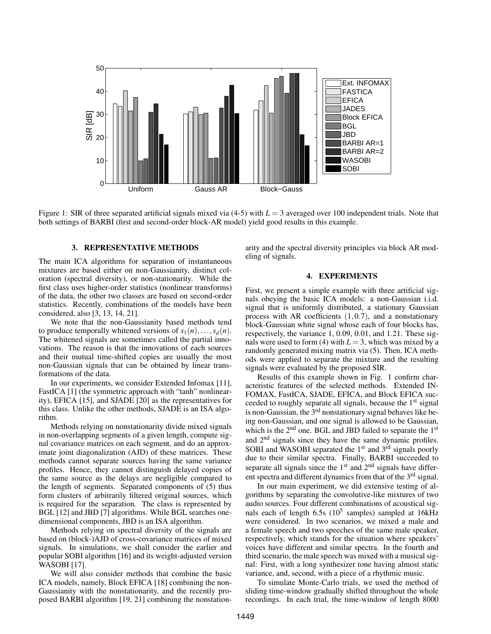

Figure 1: SIR of three separated artificial signals mixed via (4-5) with *L* = 3 averaged over 100 independent trials. Note that both settings of BARBI (first and second-order block-AR model) yield good results in this example.

#### 3. REPRESENTATIVE METHODS

The main ICA algorithms for separation of instantaneous mixtures are based either on non-Gaussianity, distinct coloration (spectral diversity), or non-stationarity. While the first class uses higher-order statistics (nonlinear transforms) of the data, the other two classes are based on second-order statistics. Recently, combinations of the models have been considered, also [3, 13, 14, 21].

We note that the non-Gaussianity based methods tend to produce temporally whitened versions of  $s_1(n), \ldots, s_d(n)$ . The whitened signals are sometimes called the partial innovations. The reason is that the innovations of each sources and their mutual time-shifted copies are usually the most non-Gaussian signals that can be obtained by linear transformations of the data.

In our experiments, we consider Extended Infomax [11], FastICA [1] (the symmetric approach with "tanh" nonlinearity), EFICA [15], and SJADE [20] as the representatives for this class. Unlike the other methods, SJADE is an ISA algorithm.

Methods relying on nonstationarity divide mixed signals in non-overlapping segments of a given length, compute signal covariance matrices on each segment, and do an approximate joint diagonalization (AJD) of these matrices. These methods cannot separate sources having the same variance profiles. Hence, they cannot distinguish delayed copies of the same source as the delays are negligible compared to the length of segments. Separated components of (5) thus form clusters of arbitrarily filtered original sources, which is required for the separation. The class is represented by BGL [12] and JBD [7] algorithms. While BGL searches onedimensional components, JBD is an ISA algorithm.

Methods relying on spectral diversity of the signals are based on (block-)AJD of cross-covariance matrices of mixed signals. In simulations, we shall consider the earlier and popular SOBI algorithm [16] and its weight-adjusted version WASOBI [17].

We will also consider methods that combine the basic ICA models, namely, Block EFICA [18] combining the non-Gaussianity with the nonstationarity, and the recently proposed BARBI algorithm [19, 21] combining the nonstationarity and the spectral diversity principles via block AR modeling of signals.

#### 4. EXPERIMENTS

First, we present a simple example with three artificial signals obeying the basic ICA models: a non-Gaussian i.i.d. signal that is uniformly distributed, a stationary Gaussian process with AR coefficients  $(1,0.7)$ , and a nonstationary block-Gaussian white signal whose each of four blocks has, respectively, the variance 1, 0.09, 0.01, and 1.21. These signals were used to form (4) with  $L = 3$ , which was mixed by a randomly generated mixing matrix via (5). Then, ICA methods were applied to separate the mixture and the resulting signals were evaluated by the proposed SIR.

Results of this example shown in Fig. 1 confirm characteristic features of the selected methods. Extended IN-FOMAX, FastICA, SJADE, EFICA, and Block EFICA succeeded to roughly separate all signals, because the 1st signal is non-Gaussian, the  $3<sup>rd</sup>$  nonstationary signal behaves like being non-Gaussian, and one signal is allowed to be Gaussian, which is the  $2<sup>nd</sup>$  one. BGL and JBD failed to separate the  $1<sup>st</sup>$ and 2nd signals since they have the same dynamic profiles. SOBI and WASOBI separated the  $1<sup>st</sup>$  and  $3<sup>rd</sup>$  signals poorly due to their similar spectra. Finally, BARBI succeeded to separate all signals since the  $1<sup>st</sup>$  and  $2<sup>nd</sup>$  signals have different spectra and different dynamics from that of the 3<sup>rd</sup> signal.

In our main experiment, we did extensive testing of algorithms by separating the convolutive-like mixtures of two audio sources. Four different combinations of acoustical signals each of length  $6.5s$  ( $10^5$  samples) sampled at 16kHz were considered. In two scenarios, we mixed a male and a female speech and two speeches of the same male speaker, respectively, which stands for the situation where speakers' voices have different and similar spectra. In the fourth and third scenario, the male speech was mixed with a musical signal: First, with a long synthesizer tone having almost static variance, and, second, with a piece of a rhythmic music.

To simulate Monte-Carlo trials, we used the method of sliding time-window gradually shifted throughout the whole recordings. In each trial, the time-window of length 8000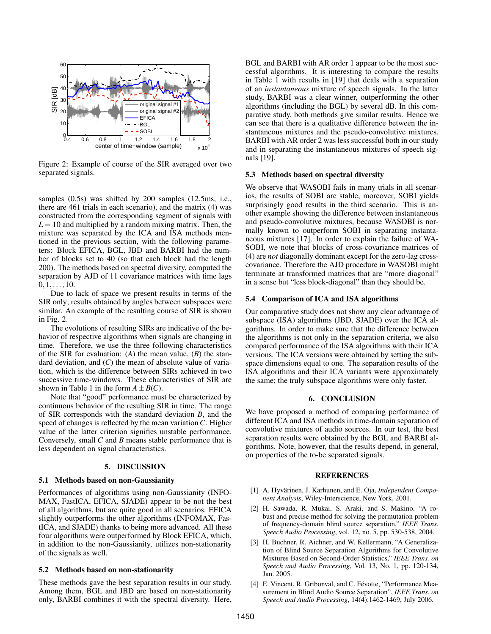

Figure 2: Example of course of the SIR averaged over two separated signals.

samples (0.5s) was shifted by 200 samples (12.5ms, i.e., there are 461 trials in each scenario), and the matrix (4) was constructed from the corresponding segment of signals with  $L = 10$  and multiplied by a random mixing matrix. Then, the mixture was separated by the ICA and ISA methods mentioned in the previous section, with the following parameters: Block EFICA, BGL, JBD and BARBI had the number of blocks set to 40 (so that each block had the length 200). The methods based on spectral diversity, computed the separation by AJD of 11 covariance matrices with time lags  $0,1,\ldots,10.$ 

Due to lack of space we present results in terms of the SIR only; results obtained by angles between subspaces were similar. An example of the resulting course of SIR is shown in Fig. 2.

The evolutions of resulting SIRs are indicative of the behavior of respective algorithms when signals are changing in time. Therefore, we use the three following characteristics of the SIR for evaluation: (*A*) the mean value, (*B*) the standard deviation, and (*C*) the mean of absolute value of variation, which is the difference between SIRs achieved in two successive time-windows. These characteristics of SIR are shown in Table 1 in the form  $A \pm B(C)$ .

Note that "good" performance must be characterized by continuous behavior of the resulting SIR in time. The range of SIR corresponds with the standard deviation *B*, and the speed of changes is reflected by the mean variation*C*. Higher value of the latter criterion signifies unstable performance. Conversely, small *C* and *B* means stable performance that is less dependent on signal characteristics.

#### 5. DISCUSSION

# 5.1 Methods based on non-Gaussianity

Performances of algorithms using non-Gaussianity (INFO-MAX, FastICA, EFICA, SJADE) appear to be not the best of all algorithms, but are quite good in all scenarios. EFICA slightly outperforms the other algorithms (INFOMAX, FastICA, and SJADE) thanks to being more advanced. All these four algorithms were outperformed by Block EFICA, which, in addition to the non-Gaussianity, utilizes non-stationarity of the signals as well.

#### 5.2 Methods based on non-stationarity

These methods gave the best separation results in our study. Among them, BGL and JBD are based on non-stationarity only, BARBI combines it with the spectral diversity. Here,

BGL and BARBI with AR order 1 appear to be the most successful algorithms. It is interesting to compare the results in Table 1 with results in [19] that deals with a separation of an *instantaneous* mixture of speech signals. In the latter study, BARBI was a clear winner, outperforming the other algorithms (including the BGL) by several dB. In this comparative study, both methods give similar results. Hence we can see that there is a qualitative difference between the instantaneous mixtures and the pseudo-convolutive mixtures. BARBI with AR order 2 was less successful both in our study and in separating the instantaneous mixtures of speech signals [19].

## 5.3 Methods based on spectral diversity

We observe that WASOBI fails in many trials in all scenarios, the results of SOBI are stable, moreover, SOBI yields surprisingly good results in the third scenario. This is another example showing the difference between instantaneous and pseudo-convolutive mixtures, because WASOBI is normally known to outperform SOBI in separating instantaneous mixtures [17]. In order to explain the failure of WA-SOBI, we note that blocks of cross-covariance matrices of (4) are *not* diagonally dominant except for the zero-lag crosscovariance. Therefore the AJD procedure in WASOBI might terminate at transformed matrices that are "more diagonal" in a sense but "less block-diagonal" than they should be.

#### 5.4 Comparison of ICA and ISA algorithms

Our comparative study does not show any clear advantage of subspace (ISA) algorithms (JBD, SJADE) over the ICA algorithms. In order to make sure that the difference between the algorithms is not only in the separation criteria, we also compared performance of the ISA algorithms with their ICA versions. The ICA versions were obtained by setting the subspace dimensions equal to one. The separation results of the ISA algorithms and their ICA variants were approximately the same; the truly subspace algorithms were only faster.

#### 6. CONCLUSION

We have proposed a method of comparing performance of different ICA and ISA methods in time-domain separation of convolutive mixtures of audio sources. In our test, the best separation results were obtained by the BGL and BARBI algorithms. Note, however, that the results depend, in general, on properties of the to-be separated signals.

## REFERENCES

- [1] A. Hyvärinen, J. Karhunen, and E. Oia, *Independent Component Analysis*, Wiley-Interscience, New York, 2001.
- [2] H. Sawada, R. Mukai, S. Araki, and S. Makino, "A robust and precise method for solving the permutation problem of frequency-domain blind source separation," *IEEE Trans. Speech Audio Processing*, vol. 12, no. 5, pp. 530-538, 2004.
- [3] H. Buchner, R. Aichner, and W. Kellermann, "A Generalization of Blind Source Separation Algorithms for Convolutive Mixtures Based on Second-Order Statistics," *IEEE Trans. on Speech and Audio Processing*, Vol. 13, No. 1, pp. 120-134, Jan. 2005.
- [4] E. Vincent, R. Gribonval, and C. Févotte, "Performance Measurement in Blind Audio Source Separation", *IEEE Trans. on Speech and Audio Processing*, 14(4):1462-1469, July 2006.